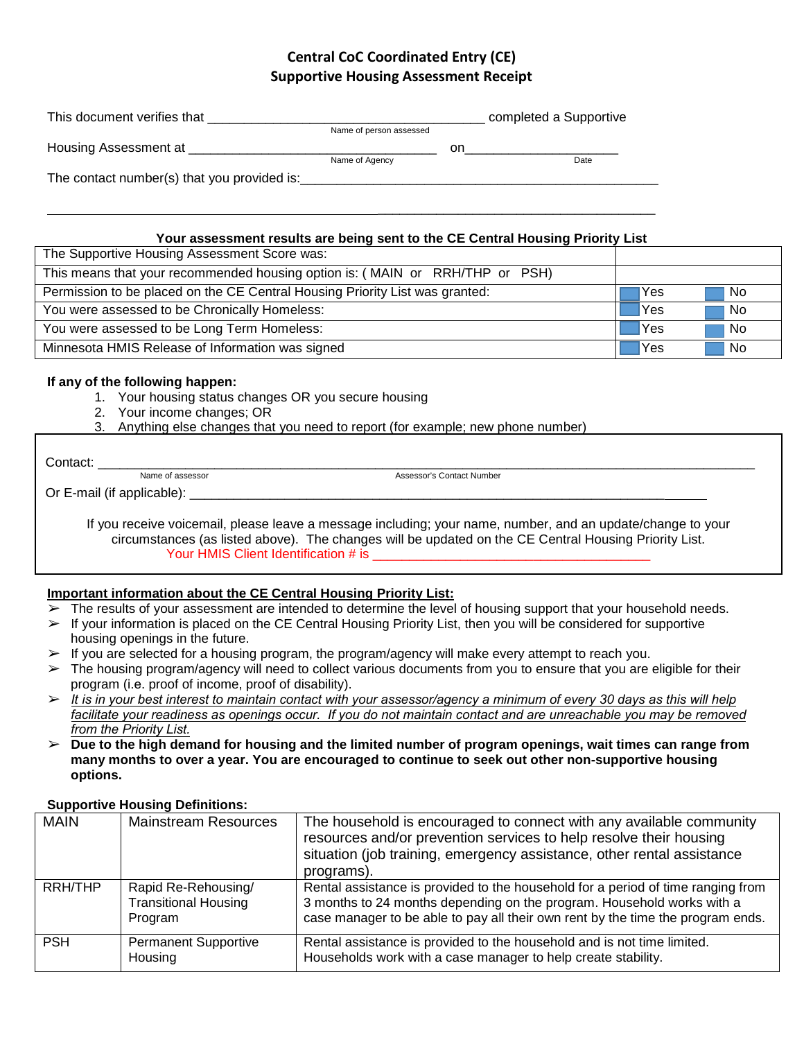# **Central CoC Coordinated Entry (CE) Supportive Housing Assessment Receipt**

| This document verifies that                 |                         |    | completed a Supportive |
|---------------------------------------------|-------------------------|----|------------------------|
|                                             | Name of person assessed |    |                        |
| Housing Assessment at                       |                         | on |                        |
|                                             | Name of Agency          |    | Date                   |
| The contact number(s) that you provided is: |                         |    |                        |

## **Your assessment results are being sent to the CE Central Housing Priority List**

\_\_\_\_\_\_\_\_\_\_\_\_\_\_\_\_\_\_\_\_\_\_\_\_\_\_\_\_\_\_\_\_\_\_\_\_\_\_

| The Supportive Housing Assessment Score was:                                 |            |     |
|------------------------------------------------------------------------------|------------|-----|
| This means that your recommended housing option is: (MAIN or RRH/THP or PSH) |            |     |
| Permission to be placed on the CE Central Housing Priority List was granted: | Yes        | No. |
| You were assessed to be Chronically Homeless:                                | <b>Yes</b> | No. |
| You were assessed to be Long Term Homeless:                                  | Yes        | No. |
| Minnesota HMIS Release of Information was signed                             | <b>Yes</b> | No. |

### **If any of the following happen:**

- 1. Your housing status changes OR you secure housing
- 2. Your income changes; OR
- 3. Anything else changes that you need to report (for example; new phone number)

Contact: \_\_\_\_\_\_\_\_\_\_\_\_\_\_\_\_\_\_\_\_\_\_\_\_\_\_\_\_\_\_\_\_\_\_\_\_\_\_\_\_\_\_\_\_\_\_\_\_\_\_\_\_\_\_\_\_\_\_\_\_\_\_\_\_\_\_\_\_\_\_\_\_\_\_\_\_\_\_\_\_\_\_\_\_\_\_\_\_\_\_ Name of assessor Assessor's Contact Number

Or E-mail (if applicable):

If you receive voicemail, please leave a message including; your name, number, and an update/change to your circumstances (as listed above). The changes will be updated on the CE Central Housing Priority List. Your HMIS Client Identification # is

## **Important information about the CE Central Housing Priority List:**

- The results of your assessment are intended to determine the level of housing support that your household needs.
- $\triangleright$  If your information is placed on the CE Central Housing Priority List, then you will be considered for supportive housing openings in the future.
- $\triangleright$  If you are selected for a housing program, the program/agency will make every attempt to reach you.
- $\triangleright$  The housing program/agency will need to collect various documents from you to ensure that you are eligible for their program (i.e. proof of income, proof of disability).
- ➢ *It is in your best interest to maintain contact with your assessor/agency a minimum of every 30 days as this will help* facilitate your readiness as openings occur. If you do not maintain contact and are unreachable you may be removed *from the Priority List.*
- ➢ **Due to the high demand for housing and the limited number of program openings, wait times can range from many months to over a year. You are encouraged to continue to seek out other non-supportive housing options.**

### **Supportive Housing Definitions:**

| <b>MAIN</b> | <b>Mainstream Resources</b>                                   | The household is encouraged to connect with any available community<br>resources and/or prevention services to help resolve their housing<br>situation (job training, emergency assistance, other rental assistance<br>programs).             |
|-------------|---------------------------------------------------------------|-----------------------------------------------------------------------------------------------------------------------------------------------------------------------------------------------------------------------------------------------|
| RRH/THP     | Rapid Re-Rehousing/<br><b>Transitional Housing</b><br>Program | Rental assistance is provided to the household for a period of time ranging from<br>3 months to 24 months depending on the program. Household works with a<br>case manager to be able to pay all their own rent by the time the program ends. |
| <b>PSH</b>  | <b>Permanent Supportive</b><br>Housing                        | Rental assistance is provided to the household and is not time limited.<br>Households work with a case manager to help create stability.                                                                                                      |